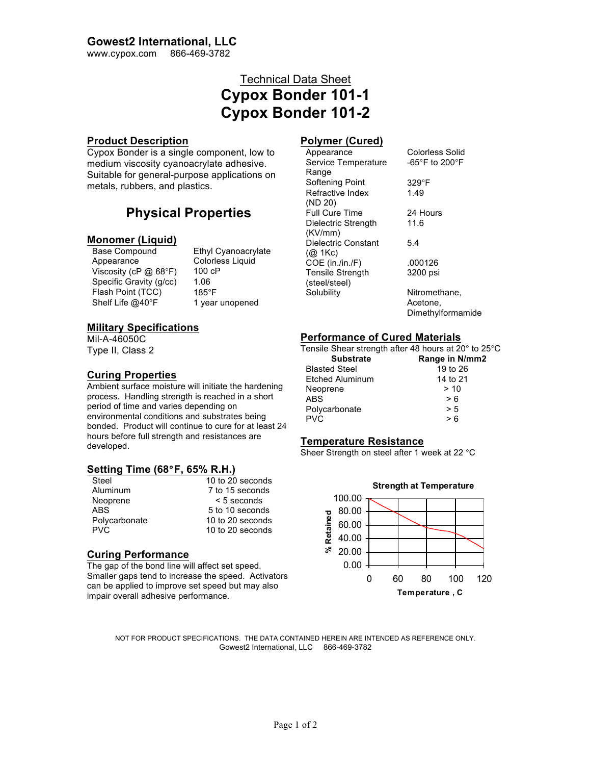## **Gowest2 International, LLC**

www.cypox.com 866-469-3782

# Technical Data Sheet **Cypox Bonder 101-1 Cypox Bonder 101-2**

#### **Product Description**

Cypox Bonder is a single component, low to medium viscosity cyanoacrylate adhesive. Suitable for general-purpose applications on metals, rubbers, and plastics.

## **Physical Properties**

# **Monomer (Liquid)**<br>Base Compound

Appearance Colorless Liquid Viscosity (cP @ 68°F) 100 cP<br>Specific Gravity (g/cc) 1.06 Specific Gravity (g/cc) Flash Point (TCC) 185°F<br>Shelf Life @40°F 1 year

Ethyl Cyanoacrylate 1 year unopened

## **Military Specifications**

Mil-A-46050C Type II, Class 2

## **Curing Properties**

Ambient surface moisture will initiate the hardening process. Handling strength is reached in a short period of time and varies depending on environmental conditions and substrates being bonded. Product will continue to cure for at least 24 hours before full strength and resistances are developed.

## **Setting Time (68**°**F, 65% R.H.)**

| Steel         | 10 to 20 seconds |
|---------------|------------------|
| Aluminum      | 7 to 15 seconds  |
| Neoprene      | $< 5$ seconds    |
| ABS.          | 5 to 10 seconds  |
| Polycarbonate | 10 to 20 seconds |
| <b>PVC</b>    | 10 to 20 seconds |

## **Curing Performance**

The gap of the bond line will affect set speed. Smaller gaps tend to increase the speed. Activators can be applied to improve set speed but may also impair overall adhesive performance.

## **Polymer (Cured)**

Appearance Colorless Solid Service Temperature Range -65°F to 200°F Softening Point 329°F Refractive Index (ND 20) 1.49 Full Cure Time 24 Hours Dielectric Strength (KV/mm) 11.6 Dielectric Constant (@ 1Kc) 5.4 COE (in./in./F) .000126 Tensile Strength (steel/steel) 3200 psi Solubility Nitromethane, Acetone,

Dimethylformamide

## **Performance of Cured Materials**

Tensile Shear strength after 48 hours at 20° to 25°C **Substrate Range in N/mm2**

| Substrate              | Range in N/m |
|------------------------|--------------|
| <b>Blasted Steel</b>   | 19 to 26     |
| <b>Etched Aluminum</b> | 14 to 21     |
| Neoprene               | >10          |
| ABS.                   | > 6          |
| Polycarbonate          | > 5          |
| <b>PVC</b>             | > 6          |
|                        |              |

## **Temperature Resistance**

Sheer Strength on steel after 1 week at 22 °C



NOT FOR PRODUCT SPECIFICATIONS. THE DATA CONTAINED HEREIN ARE INTENDED AS REFERENCE ONLY. Gowest2 International, LLC 866-469-3782